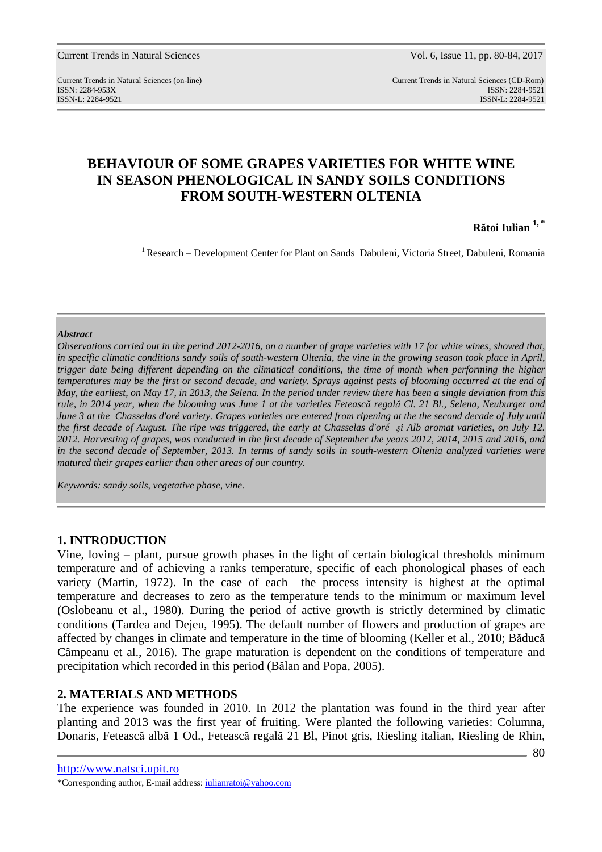Current Trends in Natural Sciences (on-line) Current Trends in Natural Sciences (CD-Rom) ISSN: 2284-953XISSN: 2284-9521 ISSN-L: 2284-9521 ISSN-L: 2284-9521

# **BEHAVIOUR OF SOME GRAPES VARIETIES FOR WHITE WINE IN SEASON PHENOLOGICAL IN SANDY SOILS CONDITIONS FROM SOUTH-WESTERN OLTENIA**

**Rătoi Iulian 1, \***

<sup>1</sup> Research – Development Center for Plant on Sands Dabuleni, Victoria Street, Dabuleni, Romania

#### *Abstract*

*Observations carried out in the period 2012-2016, on a number of grape varieties with 17 for white wines, showed that, in specific climatic conditions sandy soils of south-western Oltenia, the vine in the growing season took place in April, trigger date being different depending on the climatical conditions, the time of month when performing the higher temperatures may be the first or second decade, and variety. Sprays against pests of blooming occurred at the end of May, the earliest, on May 17, in 2013, the Selena. In the period under review there has been a single deviation from this rule, in 2014 year, when the blooming was June 1 at the varieties Fetească regală Cl. 21 Bl., Selena, Neuburger and June 3 at the Chasselas d'oré variety. Grapes varieties are entered from ripening at the the second decade of July until the first decade of August. The ripe was triggered, the early at Chasselas d'oré şi Alb aromat varieties, on July 12. 2012. Harvesting of grapes, was conducted in the first decade of September the years 2012, 2014, 2015 and 2016, and in the second decade of September, 2013. In terms of sandy soils in south-western Oltenia analyzed varieties were matured their grapes earlier than other areas of our country.* 

*Keywords: sandy soils, vegetative phase, vine.*

### **1. INTRODUCTION**

Vine, loving – plant, pursue growth phases in the light of certain biological thresholds minimum temperature and of achieving a ranks temperature, specific of each phonological phases of each variety (Martin, 1972). In the case of each the process intensity is highest at the optimal temperature and decreases to zero as the temperature tends to the minimum or maximum level (Oslobeanu et al., 1980). During the period of active growth is strictly determined by climatic conditions (Tardea and Dejeu, 1995). The default number of flowers and production of grapes are affected by changes in climate and temperature in the time of blooming (Keller et al., 2010; Băducă Câmpeanu et al., 2016). The grape maturation is dependent on the conditions of temperature and precipitation which recorded in this period (Bălan and Popa, 2005).

## **2. MATERIALS AND METHODS**

The experience was founded in 2010. In 2012 the plantation was found in the third year after planting and 2013 was the first year of fruiting. Were planted the following varieties: Columna, Donaris, Fetească albă 1 Od., Fetească regală 21 Bl, Pinot gris, Riesling italian, Riesling de Rhin,

http://www.natsci.upit.ro

<sup>\*</sup>Corresponding author, E-mail address: iulianratoi@yahoo.com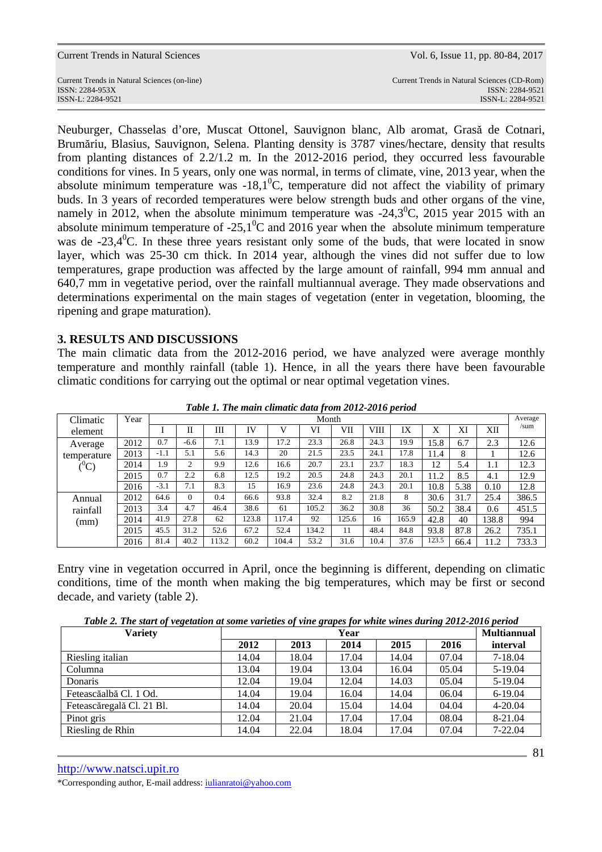| Current Trends in Natural Sciences           | Vol. 6, Issue 11, pp. 80-84, 2017           |
|----------------------------------------------|---------------------------------------------|
| Current Trends in Natural Sciences (on-line) | Current Trends in Natural Sciences (CD-Rom) |
| ISSN: 2284-953X                              | ISSN: 2284-9521                             |
| ISSN-L: 2284-9521                            | ISSN-L: 2284-9521                           |

Neuburger, Chasselas d'ore, Muscat Ottonel, Sauvignon blanc, Alb aromat, Grasă de Cotnari, Brumăriu, Blasius, Sauvignon, Selena. Planting density is 3787 vines/hectare, density that results from planting distances of 2.2/1.2 m. In the 2012-2016 period, they occurred less favourable conditions for vines. In 5 years, only one was normal, in terms of climate, vine, 2013 year, when the absolute minimum temperature was  $-18.1^{\circ}$ C, temperature did not affect the viability of primary buds. In 3 years of recorded temperatures were below strength buds and other organs of the vine, namely in 2012, when the absolute minimum temperature was  $-24,3^{\circ}$ C, 2015 year 2015 with an absolute minimum temperature of  $-25.1^{\circ}$ C and 2016 year when the absolute minimum temperature was de -23,4<sup>0</sup>C. In these three years resistant only some of the buds, that were located in snow layer, which was 25-30 cm thick. In 2014 year, although the vines did not suffer due to low temperatures, grape production was affected by the large amount of rainfall, 994 mm annual and 640,7 mm in vegetative period, over the rainfall multiannual average. They made observations and determinations experimental on the main stages of vegetation (enter in vegetation, blooming, the ripening and grape maturation).

### **3. RESULTS AND DISCUSSIONS**

The main climatic data from the 2012-2016 period, we have analyzed were average monthly temperature and monthly rainfall (table 1). Hence, in all the years there have been favourable climatic conditions for carrying out the optimal or near optimal vegetation vines.

| Climatic         | Year |        | Month    |       |           |       |       |       |      |       | Average |      |       |       |
|------------------|------|--------|----------|-------|-----------|-------|-------|-------|------|-------|---------|------|-------|-------|
| element          |      |        | П        | Ш     | <b>IV</b> |       | VI    | VII   | VIII | IX    | Х       | ΧI   | XІІ   | /sum  |
| Average          | 2012 | 0.7    | $-6.6$   | 7.1   | 13.9      | 17.2  | 23.3  | 26.8  | 24.3 | 19.9  | 15.8    | 6.7  | 2.3   | 12.6  |
| temperature      | 2013 | $-1.1$ | 5.1      | 5.6   | 14.3      | 20    | 21.5  | 23.5  | 24.1 | 17.8  | 11.4    | 8    |       | 12.6  |
| $(^0\mathrm{C})$ | 2014 | 1.9    | 2        | 9.9   | 12.6      | 16.6  | 20.7  | 23.1  | 23.7 | 18.3  | 12      | 5.4  | 1.1   | 12.3  |
|                  | 2015 | 0.7    | 2.2      | 6.8   | 12.5      | 19.2  | 20.5  | 24.8  | 24.3 | 20.1  | 11.2    | 8.5  | 4.1   | 12.9  |
|                  | 2016 | $-3.1$ | 7.1      | 8.3   | 15        | 16.9  | 23.6  | 24.8  | 24.3 | 20.1  | 10.8    | 5.38 | 0.10  | 12.8  |
| Annual           | 2012 | 64.6   | $\Omega$ | 0.4   | 66.6      | 93.8  | 32.4  | 8.2   | 21.8 | 8     | 30.6    | 31.7 | 25.4  | 386.5 |
| rainfall         | 2013 | 3.4    | 4.7      | 46.4  | 38.6      | 61    | 105.2 | 36.2  | 30.8 | 36    | 50.2    | 38.4 | 0.6   | 451.5 |
| (mm)             | 2014 | 41.9   | 27.8     | 62    | 123.8     | 117.4 | 92    | 125.6 | 16   | 165.9 | 42.8    | 40   | 138.8 | 994   |
|                  | 2015 | 45.5   | 31.2     | 52.6  | 67.2      | 52.4  | 134.2 | 11    | 48.4 | 84.8  | 93.8    | 87.8 | 26.2  | 735.1 |
|                  | 2016 | 81.4   | 40.2     | 113.2 | 60.2      | 104.4 | 53.2  | 31.6  | 10.4 | 37.6  | 123.5   | 66.4 | 11.2  | 733.3 |

*Table 1. The main climatic data from 2012-2016 period*

Entry vine in vegetation occurred in April, once the beginning is different, depending on climatic conditions, time of the month when making the big temperatures, which may be first or second decade, and variety (table 2).

*Table 2. The start of vegetation at some varieties of vine grapes for white wines during 2012-2016 period* 

| <b>Variety</b>            |       | Year  |       |       |       |          |  |  |  |
|---------------------------|-------|-------|-------|-------|-------|----------|--|--|--|
|                           | 2012  | 2013  | 2014  | 2015  | 2016  | interval |  |  |  |
| Riesling italian          | 14.04 | 18.04 | 17.04 | 14.04 | 07.04 | 7-18.04  |  |  |  |
| Columna                   | 13.04 | 19.04 | 13.04 | 16.04 | 05.04 | 5-19.04  |  |  |  |
| Donaris                   | 12.04 | 19.04 | 12.04 | 14.03 | 05.04 | 5-19.04  |  |  |  |
| Feteascăalbă Cl. 1 Od.    | 14.04 | 19.04 | 16.04 | 14.04 | 06.04 | 6-19.04  |  |  |  |
| Feteascăregală Cl. 21 Bl. | 14.04 | 20.04 | 15.04 | 14.04 | 04.04 | 4-20.04  |  |  |  |
| Pinot gris                | 12.04 | 21.04 | 17.04 | 17.04 | 08.04 | 8-21.04  |  |  |  |
| Riesling de Rhin          | 14.04 | 22.04 | 18.04 | 17.04 | 07.04 | 7-22.04  |  |  |  |

http://www.natsci.upit.ro

\*Corresponding author, E-mail address: iulianratoi@yahoo.com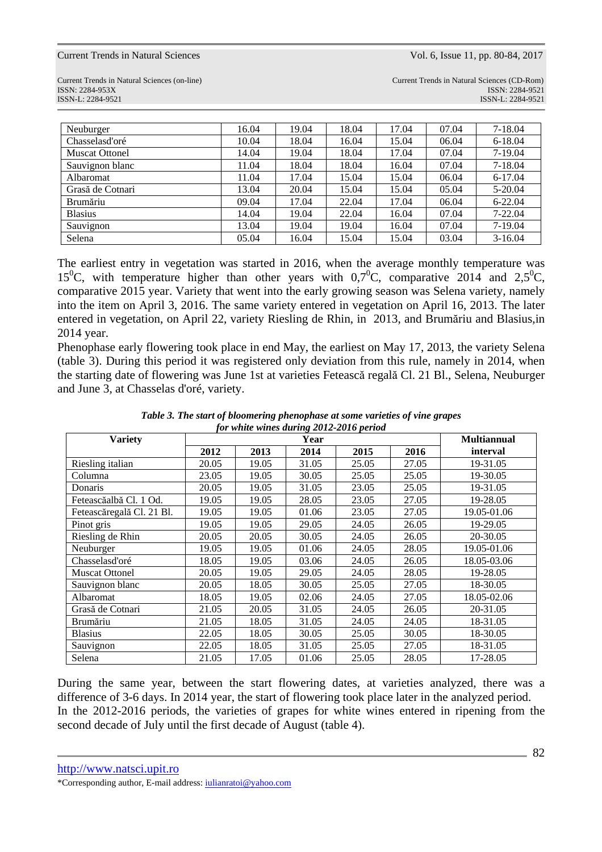Current Trends in Natural Sciences (on-line) Current Trends in Natural Sciences (CD-Rom) ISSN: 2284-953XISSN: 2284-9521 ISSN-L: 2284-9521 ISSN-L: 2284-9521

| Neuburger             | 16.04 | 19.04 | 18.04 | 17.04 | 07.04 | $7 - 18.04$ |
|-----------------------|-------|-------|-------|-------|-------|-------------|
| Chasselasd'oré        | 10.04 | 18.04 | 16.04 | 15.04 | 06.04 | 6-18.04     |
| <b>Muscat Ottonel</b> | 14.04 | 19.04 | 18.04 | 17.04 | 07.04 | 7-19.04     |
| Sauvignon blanc       | 11.04 | 18.04 | 18.04 | 16.04 | 07.04 | 7-18.04     |
| Albaromat             | 11.04 | 17.04 | 15.04 | 15.04 | 06.04 | 6-17.04     |
| Grasă de Cotnari      | 13.04 | 20.04 | 15.04 | 15.04 | 05.04 | 5-20.04     |
| Brumăriu              | 09.04 | 17.04 | 22.04 | 17.04 | 06.04 | $6 - 22.04$ |
| <b>Blasius</b>        | 14.04 | 19.04 | 22.04 | 16.04 | 07.04 | $7 - 22.04$ |
| Sauvignon             | 13.04 | 19.04 | 19.04 | 16.04 | 07.04 | 7-19.04     |
| Selena                | 05.04 | 16.04 | 15.04 | 15.04 | 03.04 | $3-16.04$   |

The earliest entry in vegetation was started in 2016, when the average monthly temperature was 15<sup>0</sup>C, with temperature higher than other years with  $0.7$ <sup>o</sup>C, comparative 2014 and 2,5<sup>0</sup>C, comparative 2015 year. Variety that went into the early growing season was Selena variety, namely into the item on April 3, 2016. The same variety entered in vegetation on April 16, 2013. The later entered in vegetation, on April 22, variety Riesling de Rhin, in 2013, and Brumăriu and Blasius,in 2014 year.

Phenophase early flowering took place in end May, the earliest on May 17, 2013, the variety Selena (table 3). During this period it was registered only deviation from this rule, namely in 2014, when the starting date of flowering was June 1st at varieties Fetească regală Cl. 21 Bl., Selena, Neuburger and June 3, at Chasselas d'oré, variety.

| <b>Variety</b>            |       |       |       | <b>Multiannual</b> |       |             |
|---------------------------|-------|-------|-------|--------------------|-------|-------------|
|                           | 2012  | 2013  | 2014  | 2015               | 2016  | interval    |
| Riesling italian          | 20.05 | 19.05 | 31.05 | 25.05              | 27.05 | 19-31.05    |
| Columna                   | 23.05 | 19.05 | 30.05 | 25.05              | 25.05 | 19-30.05    |
| Donaris                   | 20.05 | 19.05 | 31.05 | 23.05              | 25.05 | 19-31.05    |
| Feteascăalbă Cl. 1 Od.    | 19.05 | 19.05 | 28.05 | 23.05              | 27.05 | 19-28.05    |
| Feteascăregală Cl. 21 Bl. | 19.05 | 19.05 | 01.06 | 23.05              | 27.05 | 19.05-01.06 |
| Pinot gris                | 19.05 | 19.05 | 29.05 | 24.05              | 26.05 | 19-29.05    |
| Riesling de Rhin          | 20.05 | 20.05 | 30.05 | 24.05              | 26.05 | 20-30.05    |
| Neuburger                 | 19.05 | 19.05 | 01.06 | 24.05              | 28.05 | 19.05-01.06 |
| Chasselasd'oré            | 18.05 | 19.05 | 03.06 | 24.05              | 26.05 | 18.05-03.06 |
| <b>Muscat Ottonel</b>     | 20.05 | 19.05 | 29.05 | 24.05              | 28.05 | 19-28.05    |
| Sauvignon blanc           | 20.05 | 18.05 | 30.05 | 25.05              | 27.05 | 18-30.05    |
| Albaromat                 | 18.05 | 19.05 | 02.06 | 24.05              | 27.05 | 18.05-02.06 |
| Grasă de Cotnari          | 21.05 | 20.05 | 31.05 | 24.05              | 26.05 | 20-31.05    |
| Brumăriu                  | 21.05 | 18.05 | 31.05 | 24.05              | 24.05 | 18-31.05    |
| <b>Blasius</b>            | 22.05 | 18.05 | 30.05 | 25.05              | 30.05 | 18-30.05    |
| Sauvignon                 | 22.05 | 18.05 | 31.05 | 25.05              | 27.05 | 18-31.05    |
| Selena                    | 21.05 | 17.05 | 01.06 | 25.05              | 28.05 | 17-28.05    |

*Table 3. The start of bloomering phenophase at some varieties of vine grapes for white wines during 2012-2016 period* 

During the same year, between the start flowering dates, at varieties analyzed, there was a difference of 3-6 days. In 2014 year, the start of flowering took place later in the analyzed period. In the 2012-2016 periods, the varieties of grapes for white wines entered in ripening from the second decade of July until the first decade of August (table 4).

http://www.natsci.upit.ro

<sup>\*</sup>Corresponding author, E-mail address: iulianratoi@yahoo.com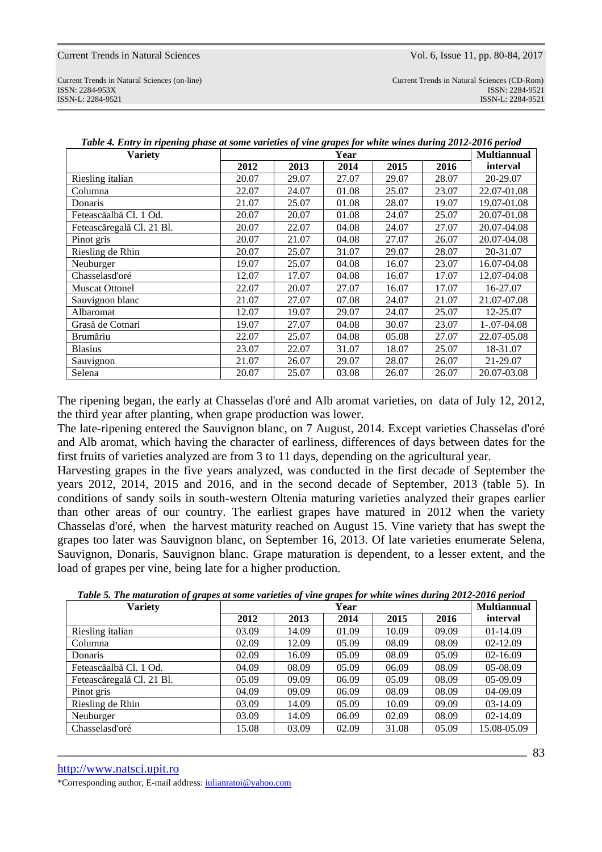Current Trends in Natural Sciences (on-line) Current Trends in Natural Sciences (CD-Rom) ISSN: 2284-953XISSN: 2284-9521 ISSN-L: 2284-9521 ISSN-L: 2284-9521

| $\bullet$<br><b>Variety</b> |       |       | Year  |       | $\bullet$ | <b>Multiannual</b> |
|-----------------------------|-------|-------|-------|-------|-----------|--------------------|
|                             | 2012  | 2013  | 2014  | 2015  | 2016      | interval           |
| Riesling italian            | 20.07 | 29.07 | 27.07 | 29.07 | 28.07     | 20-29.07           |
| Columna                     | 22.07 | 24.07 | 01.08 | 25.07 | 23.07     | 22.07-01.08        |
| Donaris                     | 21.07 | 25.07 | 01.08 | 28.07 | 19.07     | 19.07-01.08        |
| Feteascăalbă Cl. 1 Od.      | 20.07 | 20.07 | 01.08 | 24.07 | 25.07     | 20.07-01.08        |
| Feteascăregală Cl. 21 Bl.   | 20.07 | 22.07 | 04.08 | 24.07 | 27.07     | 20.07-04.08        |
| Pinot gris                  | 20.07 | 21.07 | 04.08 | 27.07 | 26.07     | 20.07-04.08        |
| Riesling de Rhin            | 20.07 | 25.07 | 31.07 | 29.07 | 28.07     | 20-31.07           |
| Neuburger                   | 19.07 | 25.07 | 04.08 | 16.07 | 23.07     | 16.07-04.08        |
| Chasselasd'oré              | 12.07 | 17.07 | 04.08 | 16.07 | 17.07     | 12.07-04.08        |
| <b>Muscat Ottonel</b>       | 22.07 | 20.07 | 27.07 | 16.07 | 17.07     | 16-27.07           |
| Sauvignon blanc             | 21.07 | 27.07 | 07.08 | 24.07 | 21.07     | 21.07-07.08        |
| Albaromat                   | 12.07 | 19.07 | 29.07 | 24.07 | 25.07     | 12-25.07           |
| Grasă de Cotnari            | 19.07 | 27.07 | 04.08 | 30.07 | 23.07     | $1-.07-04.08$      |
| Brumăriu                    | 22.07 | 25.07 | 04.08 | 05.08 | 27.07     | 22.07-05.08        |
| <b>Blasius</b>              | 23.07 | 22.07 | 31.07 | 18.07 | 25.07     | 18-31.07           |
| Sauvignon                   | 21.07 | 26.07 | 29.07 | 28.07 | 26.07     | 21-29.07           |
| Selena                      | 20.07 | 25.07 | 03.08 | 26.07 | 26.07     | 20.07-03.08        |

*Table 4. Entry in ripening phase at some varieties of vine grapes for white wines during 2012-2016 period* 

The ripening began, the early at Chasselas d'oré and Alb aromat varieties, on data of July 12, 2012, the third year after planting, when grape production was lower.

The late-ripening entered the Sauvignon blanc, on 7 August, 2014. Except varieties Chasselas d'oré and Alb aromat, which having the character of earliness, differences of days between dates for the first fruits of varieties analyzed are from 3 to 11 days, depending on the agricultural year.

Harvesting grapes in the five years analyzed, was conducted in the first decade of September the years 2012, 2014, 2015 and 2016, and in the second decade of September, 2013 (table 5). In conditions of sandy soils in south-western Oltenia maturing varieties analyzed their grapes earlier than other areas of our country. The earliest grapes have matured in 2012 when the variety Chasselas d'oré, when the harvest maturity reached on August 15. Vine variety that has swept the grapes too later was Sauvignon blanc, on September 16, 2013. Of late varieties enumerate Selena, Sauvignon, Donaris, Sauvignon blanc. Grape maturation is dependent, to a lesser extent, and the load of grapes per vine, being late for a higher production.

*Table 5. The maturation of grapes at some varieties of vine grapes for white wines during 2012-2016 period* 

| 70 T T<br><b>Variety</b>  |       | <b>Multiannual</b> |       |       |       |              |
|---------------------------|-------|--------------------|-------|-------|-------|--------------|
|                           | 2012  | 2013               | 2014  | 2015  | 2016  | interval     |
| Riesling italian          | 03.09 | 14.09              | 01.09 | 10.09 | 09.09 | 01-14.09     |
| Columna                   | 02.09 | 12.09              | 05.09 | 08.09 | 08.09 | 02-12.09     |
| Donaris                   | 02.09 | 16.09              | 05.09 | 08.09 | 05.09 | $02 - 16.09$ |
| Feteascăalbă Cl. 1 Od.    | 04.09 | 08.09              | 05.09 | 06.09 | 08.09 | 05-08.09     |
| Feteascăregală Cl. 21 Bl. | 05.09 | 09.09              | 06.09 | 05.09 | 08.09 | 05-09.09     |
| Pinot gris                | 04.09 | 09.09              | 06.09 | 08.09 | 08.09 | 04-09.09     |
| Riesling de Rhin          | 03.09 | 14.09              | 05.09 | 10.09 | 09.09 | 03-14.09     |
| Neuburger                 | 03.09 | 14.09              | 06.09 | 02.09 | 08.09 | 02-14.09     |
| Chasselasd'oré            | 15.08 | 03.09              | 02.09 | 31.08 | 05.09 | 15.08-05.09  |

http://www.natsci.upit.ro

\*Corresponding author, E-mail address: iulianratoi@yahoo.com